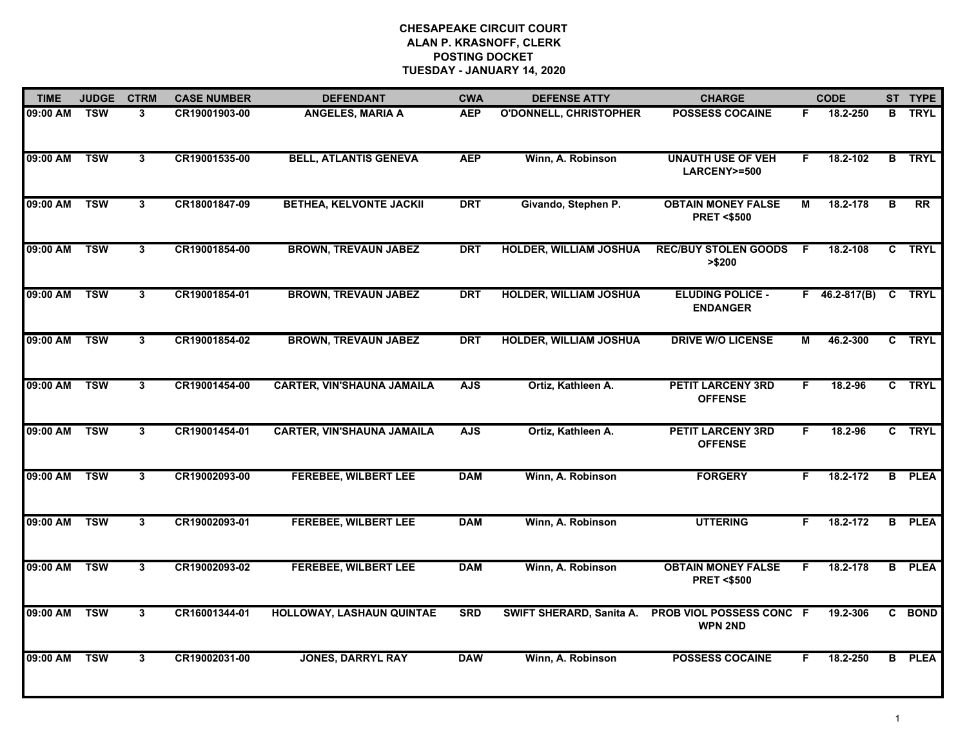| <b>TIME</b> | <b>JUDGE</b> | <b>CTRM</b>  | <b>CASE NUMBER</b> | <b>DEFENDANT</b>                  | <b>CWA</b> | <b>DEFENSE ATTY</b>           | <b>CHARGE</b>                                      |    | <b>CODE</b>     |    | ST TYPE       |
|-------------|--------------|--------------|--------------------|-----------------------------------|------------|-------------------------------|----------------------------------------------------|----|-----------------|----|---------------|
| 09:00 AM    | <b>TSW</b>   | 3            | CR19001903-00      | <b>ANGELES, MARIA A</b>           | <b>AEP</b> | <b>O'DONNELL, CHRISTOPHER</b> | <b>POSSESS COCAINE</b>                             | F. | 18.2-250        | в  | <b>TRYL</b>   |
| 09:00 AM    | <b>TSW</b>   | $\mathbf{3}$ | CR19001535-00      | <b>BELL, ATLANTIS GENEVA</b>      | <b>AEP</b> | Winn, A. Robinson             | <b>UNAUTH USE OF VEH</b><br>LARCENY>=500           | F  | 18.2-102        | B  | <b>TRYL</b>   |
| 09:00 AM    | <b>TSW</b>   | $\mathbf{3}$ | CR18001847-09      | <b>BETHEA, KELVONTE JACKII</b>    | <b>DRT</b> | Givando, Stephen P.           | <b>OBTAIN MONEY FALSE</b><br><b>PRET &lt;\$500</b> | М  | 18.2-178        | B  | RR            |
| 09:00 AM    | <b>TSW</b>   | 3            | CR19001854-00      | <b>BROWN, TREVAUN JABEZ</b>       | <b>DRT</b> | <b>HOLDER, WILLIAM JOSHUA</b> | <b>REC/BUY STOLEN GOODS</b><br>> \$200             | F. | 18.2-108        | C  | <b>TRYL</b>   |
| 09:00 AM    | <b>TSW</b>   | 3            | CR19001854-01      | <b>BROWN, TREVAUN JABEZ</b>       | <b>DRT</b> | <b>HOLDER, WILLIAM JOSHUA</b> | <b>ELUDING POLICE -</b><br><b>ENDANGER</b>         |    | $F$ 46.2-817(B) |    | C TRYL        |
| 09:00 AM    | <b>TSW</b>   | 3            | CR19001854-02      | <b>BROWN, TREVAUN JABEZ</b>       | <b>DRT</b> | <b>HOLDER, WILLIAM JOSHUA</b> | <b>DRIVE W/O LICENSE</b>                           | М  | 46.2-300        |    | C TRYL        |
| 09:00 AM    | <b>TSW</b>   | $\mathbf{3}$ | CR19001454-00      | <b>CARTER, VIN'SHAUNA JAMAILA</b> | <b>AJS</b> | Ortiz, Kathleen A.            | <b>PETIT LARCENY 3RD</b><br><b>OFFENSE</b>         | F  | 18.2-96         |    | C TRYL        |
| 09:00 AM    | <b>TSW</b>   | $3^{\circ}$  | CR19001454-01      | <b>CARTER, VIN'SHAUNA JAMAILA</b> | <b>AJS</b> | Ortiz, Kathleen A.            | <b>PETIT LARCENY 3RD</b><br><b>OFFENSE</b>         | F. | 18.2-96         |    | C TRYL        |
| 09:00 AM    | <b>TSW</b>   | 3            | CR19002093-00      | <b>FEREBEE, WILBERT LEE</b>       | <b>DAM</b> | Winn, A. Robinson             | <b>FORGERY</b>                                     | F. | 18.2-172        | B. | <b>PLEA</b>   |
| 09:00 AM    | <b>TSW</b>   | 3            | CR19002093-01      | <b>FEREBEE, WILBERT LEE</b>       | <b>DAM</b> | Winn, A. Robinson             | <b>UTTERING</b>                                    | F. | 18.2-172        | B  | <b>PLEA</b>   |
| 09:00 AM    | <b>TSW</b>   | 3            | CR19002093-02      | <b>FEREBEE, WILBERT LEE</b>       | <b>DAM</b> | Winn, A. Robinson             | <b>OBTAIN MONEY FALSE</b><br><b>PRET &lt;\$500</b> | F  | 18.2-178        |    | <b>B</b> PLEA |
| 09:00 AM    | <b>TSW</b>   | $\mathbf{3}$ | CR16001344-01      | HOLLOWAY, LASHAUN QUINTAE         | <b>SRD</b> | SWIFT SHERARD, Sanita A.      | <b>PROB VIOL POSSESS CONC F</b><br><b>WPN 2ND</b>  |    | 19.2-306        | C. | <b>BOND</b>   |
| 09:00 AM    | <b>TSW</b>   | $\mathbf{3}$ | CR19002031-00      | <b>JONES, DARRYL RAY</b>          | <b>DAW</b> | Winn, A. Robinson             | <b>POSSESS COCAINE</b>                             | F  | 18.2-250        |    | <b>B</b> PLEA |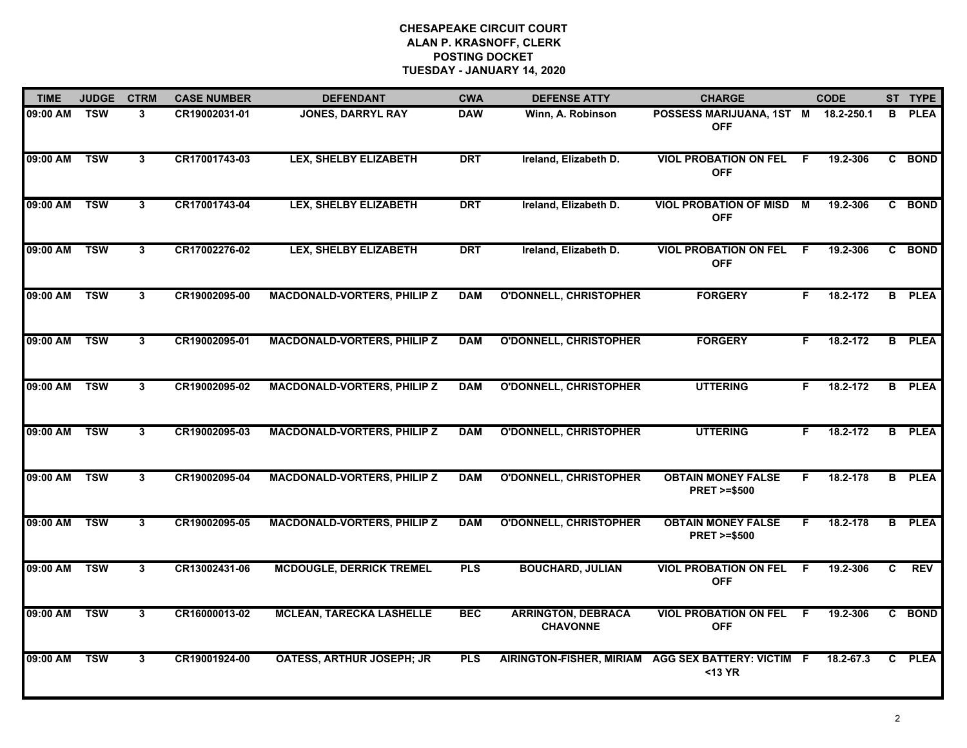| <b>TIME</b>  | <b>JUDGE</b>              | <b>CTRM</b>    | <b>CASE NUMBER</b> | <b>DEFENDANT</b>                   | <b>CWA</b> | <b>DEFENSE ATTY</b>                          | <b>CHARGE</b>                                                 |                | <b>CODE</b> |    | ST TYPE       |
|--------------|---------------------------|----------------|--------------------|------------------------------------|------------|----------------------------------------------|---------------------------------------------------------------|----------------|-------------|----|---------------|
| 09:00 AM     | $\overline{\mathsf{TSW}}$ | 3              | CR19002031-01      | JONES, DARRYL RAY                  | <b>DAW</b> | Winn, A. Robinson                            | POSSESS MARIJUANA, 1ST M<br><b>OFF</b>                        |                | 18.2-250.1  | B. | <b>PLEA</b>   |
| 09:00 AM     | <b>TSW</b>                | $\overline{3}$ | CR17001743-03      | <b>LEX, SHELBY ELIZABETH</b>       | <b>DRT</b> | Ireland, Elizabeth D.                        | <b>VIOL PROBATION ON FEL</b><br><b>OFF</b>                    | - F            | 19.2-306    |    | C BOND        |
| 09:00 AM     | <b>TSW</b>                | 3              | CR17001743-04      | <b>LEX, SHELBY ELIZABETH</b>       | <b>DRT</b> | Ireland, Elizabeth D.                        | <b>VIOL PROBATION OF MISD</b><br><b>OFF</b>                   | $\overline{M}$ | 19.2-306    |    | C BOND        |
| 09:00 AM     | <b>TSW</b>                | 3              | CR17002276-02      | <b>LEX, SHELBY ELIZABETH</b>       | <b>DRT</b> | Ireland, Elizabeth D.                        | <b>VIOL PROBATION ON FEL</b><br><b>OFF</b>                    | F.             | 19.2-306    |    | C BOND        |
| 09:00 AM     | <b>TSW</b>                | 3              | CR19002095-00      | <b>MACDONALD-VORTERS, PHILIP Z</b> | <b>DAM</b> | <b>O'DONNELL, CHRISTOPHER</b>                | <b>FORGERY</b>                                                | F.             | 18.2-172    |    | <b>B</b> PLEA |
| 09:00 AM TSW |                           | $\mathbf{3}$   | CR19002095-01      | <b>MACDONALD-VORTERS, PHILIP Z</b> | <b>DAM</b> | <b>O'DONNELL, CHRISTOPHER</b>                | <b>FORGERY</b>                                                | F.             | 18.2-172    |    | <b>B</b> PLEA |
| 09:00 AM     | <b>TSW</b>                | 3              | CR19002095-02      | <b>MACDONALD-VORTERS, PHILIP Z</b> | <b>DAM</b> | <b>O'DONNELL, CHRISTOPHER</b>                | <b>UTTERING</b>                                               | F.             | 18.2-172    |    | <b>B</b> PLEA |
| 09:00 AM     | <b>TSW</b>                | $\overline{3}$ | CR19002095-03      | <b>MACDONALD-VORTERS, PHILIP Z</b> | <b>DAM</b> | <b>O'DONNELL, CHRISTOPHER</b>                | <b>UTTERING</b>                                               | F.             | 18.2-172    |    | <b>B</b> PLEA |
| 09:00 AM     | <b>TSW</b>                | 3              | CR19002095-04      | <b>MACDONALD-VORTERS, PHILIP Z</b> | <b>DAM</b> | <b>O'DONNELL, CHRISTOPHER</b>                | <b>OBTAIN MONEY FALSE</b><br><b>PRET &gt;=\$500</b>           | F.             | 18.2-178    |    | <b>B</b> PLEA |
| 09:00 AM     | <b>TSW</b>                | 3              | CR19002095-05      | <b>MACDONALD-VORTERS, PHILIP Z</b> | <b>DAM</b> | <b>O'DONNELL, CHRISTOPHER</b>                | <b>OBTAIN MONEY FALSE</b><br><b>PRET &gt;=\$500</b>           | F.             | 18.2-178    |    | <b>B</b> PLEA |
| 09:00 AM TSW |                           | 3              | CR13002431-06      | <b>MCDOUGLE, DERRICK TREMEL</b>    | <b>PLS</b> | <b>BOUCHARD, JULIAN</b>                      | <b>VIOL PROBATION ON FEL</b><br><b>OFF</b>                    | -F             | 19.2-306    | C. | REV           |
| 09:00 AM     | <b>TSW</b>                | 3              | CR16000013-02      | <b>MCLEAN, TARECKA LASHELLE</b>    | <b>BEC</b> | <b>ARRINGTON, DEBRACA</b><br><b>CHAVONNE</b> | <b>VIOL PROBATION ON FEL</b><br><b>OFF</b>                    | - F            | 19.2-306    | C  | <b>BOND</b>   |
| 09:00 AM     | <b>TSW</b>                | $\mathbf{3}$   | CR19001924-00      | <b>OATESS, ARTHUR JOSEPH; JR</b>   | <b>PLS</b> |                                              | AIRINGTON-FISHER, MIRIAM AGG SEX BATTERY: VICTIM F<br>$13 YR$ |                | 18.2-67.3   |    | C PLEA        |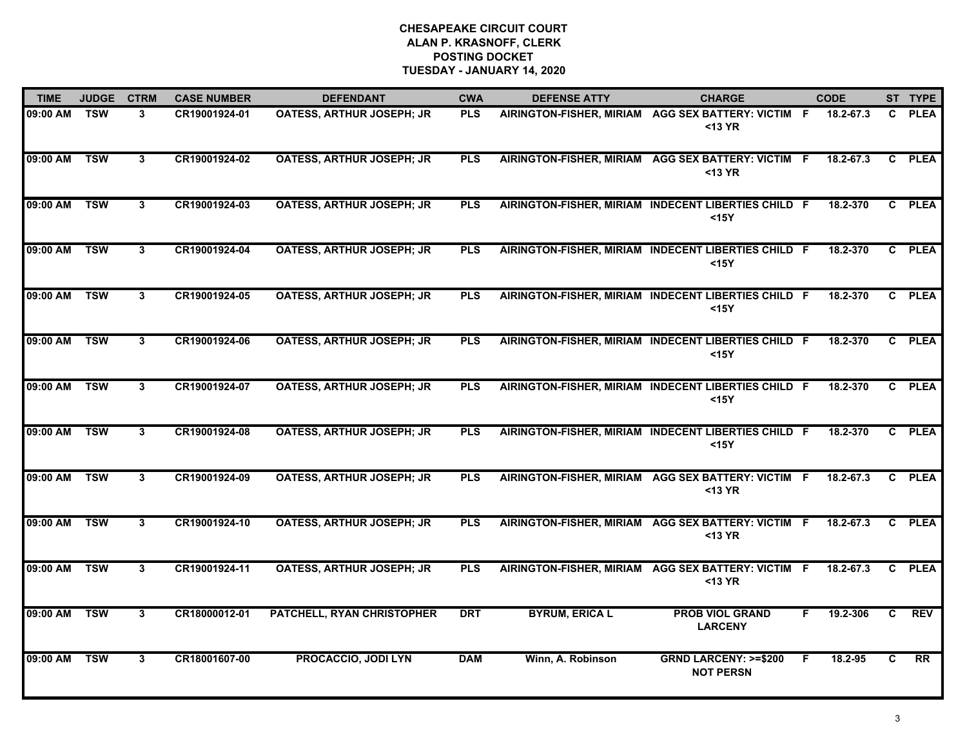| <b>TIME</b> | <b>JUDGE</b> | <b>CTRM</b>  | <b>CASE NUMBER</b> | <b>DEFENDANT</b>                 | <b>CWA</b> | <b>DEFENSE ATTY</b>   | <b>CHARGE</b>                                                 | <b>CODE</b> |              |              | ST TYPE         |
|-------------|--------------|--------------|--------------------|----------------------------------|------------|-----------------------|---------------------------------------------------------------|-------------|--------------|--------------|-----------------|
| 09:00 AM    | TSW          | 3            | CR19001924-01      | <b>OATESS, ARTHUR JOSEPH; JR</b> | <b>PLS</b> |                       | AIRINGTON-FISHER, MIRIAM AGG SEX BATTERY: VICTIM F<br>$13 YR$ |             | 18.2-67.3    | C.           | <b>PLEA</b>     |
| 09:00 AM    | <b>TSW</b>   | 3            | CR19001924-02      | <b>OATESS, ARTHUR JOSEPH; JR</b> | <b>PLS</b> |                       | AIRINGTON-FISHER, MIRIAM AGG SEX BATTERY: VICTIM F<br>$13 YR$ |             | 18.2-67.3    | C            | <b>PLEA</b>     |
| 09:00 AM    | <b>TSW</b>   | 3            | CR19001924-03      | <b>OATESS, ARTHUR JOSEPH; JR</b> | <b>PLS</b> |                       | AIRINGTON-FISHER, MIRIAM INDECENT LIBERTIES CHILD F<br>$15Y$  |             | 18.2-370     |              | C PLEA          |
| 09:00 AM    | <b>TSW</b>   | 3            | CR19001924-04      | <b>OATESS, ARTHUR JOSEPH; JR</b> | <b>PLS</b> |                       | AIRINGTON-FISHER, MIRIAM INDECENT LIBERTIES CHILD F<br>$15Y$  |             | 18.2-370     |              | C PLEA          |
| 09:00 AM    | <b>TSW</b>   | 3            | CR19001924-05      | OATESS, ARTHUR JOSEPH; JR        | <b>PLS</b> |                       | AIRINGTON-FISHER, MIRIAM INDECENT LIBERTIES CHILD F<br>$15Y$  |             | $18.2 - 370$ |              | C PLEA          |
| 09:00 AM    | <b>TSW</b>   | 3            | CR19001924-06      | <b>OATESS, ARTHUR JOSEPH; JR</b> | <b>PLS</b> |                       | AIRINGTON-FISHER, MIRIAM INDECENT LIBERTIES CHILD F<br>$15Y$  |             | 18.2-370     |              | C PLEA          |
| 09:00 AM    | <b>TSW</b>   | $\mathbf{3}$ | CR19001924-07      | <b>OATESS, ARTHUR JOSEPH; JR</b> | <b>PLS</b> |                       | AIRINGTON-FISHER, MIRIAM INDECENT LIBERTIES CHILD F<br>$15Y$  |             | 18.2-370     |              | C PLEA          |
| 09:00 AM    | <b>TSW</b>   | 3            | CR19001924-08      | <b>OATESS, ARTHUR JOSEPH; JR</b> | <b>PLS</b> |                       | AIRINGTON-FISHER, MIRIAM INDECENT LIBERTIES CHILD F<br>$15Y$  |             | 18.2-370     |              | C PLEA          |
| 09:00 AM    | <b>TSW</b>   | 3            | CR19001924-09      | <b>OATESS, ARTHUR JOSEPH; JR</b> | <b>PLS</b> |                       | AIRINGTON-FISHER, MIRIAM AGG SEX BATTERY: VICTIM F<br>$13 YR$ |             | 18.2-67.3    | $\mathbf{c}$ | <b>PLEA</b>     |
| 09:00 AM    | <b>TSW</b>   | 3            | CR19001924-10      | <b>OATESS, ARTHUR JOSEPH; JR</b> | <b>PLS</b> |                       | AIRINGTON-FISHER, MIRIAM AGG SEX BATTERY: VICTIM F<br><13 YR  |             | 18.2-67.3    | C.           | <b>PLEA</b>     |
| 09:00 AM    | <b>TSW</b>   | 3            | CR19001924-11      | <b>OATESS, ARTHUR JOSEPH; JR</b> | <b>PLS</b> |                       | AIRINGTON-FISHER, MIRIAM AGG SEX BATTERY: VICTIM<br>$13 YR$   | -F          | 18.2-67.3    |              | C PLEA          |
| 09:00 AM    | <b>TSW</b>   | $3^{\circ}$  | CR18000012-01      | PATCHELL, RYAN CHRISTOPHER       | <b>DRT</b> | <b>BYRUM, ERICA L</b> | <b>PROB VIOL GRAND</b><br><b>LARCENY</b>                      | F.          | 19.2-306     | C.           | <b>REV</b>      |
| 09:00 AM    | <b>TSW</b>   | 3            | CR18001607-00      | <b>PROCACCIO, JODI LYN</b>       | <b>DAM</b> | Winn, A. Robinson     | <b>GRND LARCENY: &gt;=\$200</b><br><b>NOT PERSN</b>           | F           | 18.2-95      | C            | $\overline{RR}$ |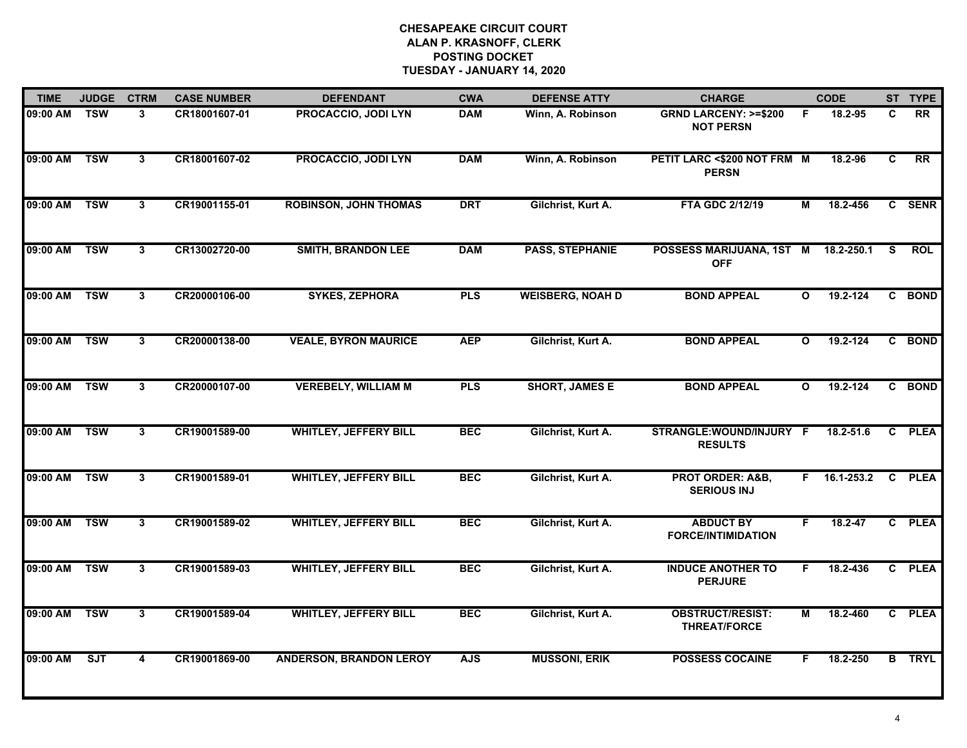| <b>TIME</b> | <b>JUDGE</b> | <b>CTRM</b>             | <b>CASE NUMBER</b> | <b>DEFENDANT</b>               | <b>CWA</b> | <b>DEFENSE ATTY</b>     | <b>CHARGE</b>                                       |              | <b>CODE</b>    |   | ST TYPE       |
|-------------|--------------|-------------------------|--------------------|--------------------------------|------------|-------------------------|-----------------------------------------------------|--------------|----------------|---|---------------|
| 09:00 AM    | <b>TSW</b>   | $\mathbf{3}$            | CR18001607-01      | PROCACCIO, JODI LYN            | <b>DAM</b> | Winn, A. Robinson       | <b>GRND LARCENY: &gt;=\$200</b><br><b>NOT PERSN</b> | E            | 18.2-95        | C | <b>RR</b>     |
| 09:00 AM    | <b>TSW</b>   | $\mathbf{3}$            | CR18001607-02      | <b>PROCACCIO, JODI LYN</b>     | <b>DAM</b> | Winn, A. Robinson       | PETIT LARC <\$200 NOT FRM M<br><b>PERSN</b>         |              | 18.2-96        | C | RR            |
| 09:00 AM    | <b>TSW</b>   | $\overline{\mathbf{3}}$ | CR19001155-01      | <b>ROBINSON, JOHN THOMAS</b>   | <b>DRT</b> | Gilchrist, Kurt A.      | FTA GDC 2/12/19                                     | М            | 18.2-456       |   | C SENR        |
| 09:00 AM    | <b>TSW</b>   | $\mathbf{3}$            | CR13002720-00      | <b>SMITH, BRANDON LEE</b>      | <b>DAM</b> | <b>PASS, STEPHANIE</b>  | POSSESS MARIJUANA, 1ST M<br><b>OFF</b>              |              | 18.2-250.1     | S | <b>ROL</b>    |
| 09:00 AM    | <b>TSW</b>   | $\mathbf{3}$            | CR20000106-00      | <b>SYKES, ZEPHORA</b>          | <b>PLS</b> | <b>WEISBERG, NOAH D</b> | <b>BOND APPEAL</b>                                  | $\mathbf{o}$ | 19.2-124       |   | C BOND        |
| 09:00 AM    | <b>TSW</b>   | 3                       | CR20000138-00      | <b>VEALE, BYRON MAURICE</b>    | <b>AEP</b> | Gilchrist, Kurt A.      | <b>BOND APPEAL</b>                                  | $\mathbf{o}$ | 19.2-124       |   | C BOND        |
| 09:00 AM    | <b>TSW</b>   | $\mathbf{3}$            | CR20000107-00      | <b>VEREBELY, WILLIAM M</b>     | <b>PLS</b> | <b>SHORT, JAMES E</b>   | <b>BOND APPEAL</b>                                  | $\mathbf{o}$ | 19.2-124       |   | C BOND        |
| 09:00 AM    | <b>TSW</b>   | $\overline{3}$          | CR19001589-00      | <b>WHITLEY, JEFFERY BILL</b>   | <b>BEC</b> | Gilchrist, Kurt A.      | STRANGLE: WOUND/INJURY F<br><b>RESULTS</b>          |              | 18.2-51.6      |   | C PLEA        |
| 09:00 AM    | <b>TSW</b>   | $\mathbf{3}$            | CR19001589-01      | <b>WHITLEY, JEFFERY BILL</b>   | <b>BEC</b> | Gilchrist, Kurt A.      | <b>PROT ORDER: A&amp;B,</b><br><b>SERIOUS INJ</b>   |              | $F$ 16.1-253.2 |   | C PLEA        |
| 09:00 AM    | <b>TSW</b>   | 3                       | CR19001589-02      | <b>WHITLEY, JEFFERY BILL</b>   | <b>BEC</b> | Gilchrist, Kurt A.      | <b>ABDUCT BY</b><br><b>FORCE/INTIMIDATION</b>       | F.           | $18.2 - 47$    |   | C PLEA        |
| 09:00 AM    | <b>TSW</b>   | 3                       | CR19001589-03      | <b>WHITLEY, JEFFERY BILL</b>   | <b>BEC</b> | Gilchrist, Kurt A.      | <b>INDUCE ANOTHER TO</b><br><b>PERJURE</b>          | F.           | 18.2-436       |   | C PLEA        |
| 09:00 AM    | <b>TSW</b>   | $\mathbf{3}$            | CR19001589-04      | <b>WHITLEY, JEFFERY BILL</b>   | <b>BEC</b> | Gilchrist, Kurt A.      | <b>OBSTRUCT/RESIST:</b><br><b>THREAT/FORCE</b>      | М            | 18.2-460       |   | C PLEA        |
| 09:00 AM    | ST           | $\overline{\mathbf{4}}$ | CR19001869-00      | <b>ANDERSON, BRANDON LEROY</b> | <b>AJS</b> | <b>MUSSONI, ERIK</b>    | <b>POSSESS COCAINE</b>                              | F.           | 18.2-250       |   | <b>B</b> TRYL |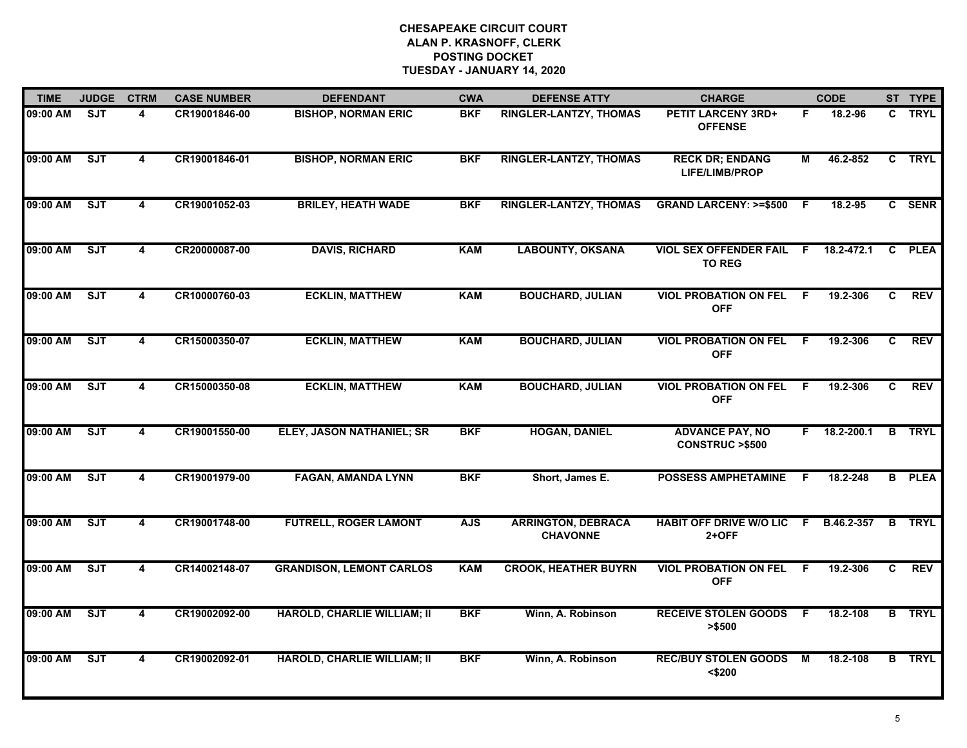| <b>TIME</b> | <b>JUDGE</b> | <b>CTRM</b>             | <b>CASE NUMBER</b> | <b>DEFENDANT</b>                   | <b>CWA</b> | <b>DEFENSE ATTY</b>                          | <b>CHARGE</b>                                       |     | <b>CODE</b>        |    | ST TYPE       |
|-------------|--------------|-------------------------|--------------------|------------------------------------|------------|----------------------------------------------|-----------------------------------------------------|-----|--------------------|----|---------------|
| 09:00 AM    | <b>SJT</b>   | 4                       | CR19001846-00      | <b>BISHOP, NORMAN ERIC</b>         | <b>BKF</b> | RINGLER-LANTZY, THOMAS                       | <b>PETIT LARCENY 3RD+</b><br><b>OFFENSE</b>         | F.  | 18.2-96            |    | C TRYL        |
| 09:00 AM    | <b>SJT</b>   | $\overline{\mathbf{4}}$ | CR19001846-01      | <b>BISHOP, NORMAN ERIC</b>         | <b>BKF</b> | RINGLER-LANTZY, THOMAS                       | <b>RECK DR; ENDANG</b><br>LIFE/LIMB/PROP            | М   | 46.2-852           |    | C TRYL        |
| 09:00 AM    | <b>SJT</b>   | 4                       | CR19001052-03      | <b>BRILEY, HEATH WADE</b>          | <b>BKF</b> | <b>RINGLER-LANTZY, THOMAS</b>                | <b>GRAND LARCENY: &gt;=\$500</b>                    | -F  | 18.2-95            |    | C SENR        |
| 09:00 AM    | <b>SJT</b>   | 4                       | CR20000087-00      | <b>DAVIS, RICHARD</b>              | <b>KAM</b> | <b>LABOUNTY, OKSANA</b>                      | <b>VIOL SEX OFFENDER FAIL F</b><br><b>TO REG</b>    |     | 18.2-472.1         | C. | <b>PLEA</b>   |
| 09:00 AM    | ST           | 4                       | CR10000760-03      | <b>ECKLIN, MATTHEW</b>             | <b>KAM</b> | <b>BOUCHARD, JULIAN</b>                      | <b>VIOL PROBATION ON FEL</b><br><b>OFF</b>          | F.  | 19.2-306           | C. | <b>REV</b>    |
| 09:00 AM    | ST           | 4                       | CR15000350-07      | <b>ECKLIN, MATTHEW</b>             | <b>KAM</b> | <b>BOUCHARD, JULIAN</b>                      | <b>VIOL PROBATION ON FEL F</b><br><b>OFF</b>        |     | 19.2-306           | C. | <b>REV</b>    |
| 09:00 AM    | ST           | 4                       | CR15000350-08      | <b>ECKLIN, MATTHEW</b>             | <b>KAM</b> | <b>BOUCHARD, JULIAN</b>                      | <b>VIOL PROBATION ON FEL</b><br><b>OFF</b>          | F.  | 19.2-306           | C. | REV           |
| 09:00 AM    | ST           | 4                       | CR19001550-00      | ELEY, JASON NATHANIEL; SR          | <b>BKF</b> | <b>HOGAN, DANIEL</b>                         | <b>ADVANCE PAY, NO</b><br><b>CONSTRUC &gt;\$500</b> |     | $F = 18.2 - 200.1$ |    | <b>B</b> TRYL |
| 09:00 AM    | <b>SJT</b>   | 4                       | CR19001979-00      | <b>FAGAN, AMANDA LYNN</b>          | <b>BKF</b> | Short, James E.                              | <b>POSSESS AMPHETAMINE</b>                          | .F  | 18.2-248           |    | <b>B</b> PLEA |
| 09:00 AM    | SJT          | $\overline{\mathbf{4}}$ | CR19001748-00      | <b>FUTRELL, ROGER LAMONT</b>       | <b>AJS</b> | <b>ARRINGTON, DEBRACA</b><br><b>CHAVONNE</b> | <b>HABIT OFF DRIVE W/O LIC</b><br>2+OFF             | -F. | B.46.2-357         |    | <b>B</b> TRYL |
| 09:00 AM    | ST           | $\overline{\mathbf{4}}$ | CR14002148-07      | <b>GRANDISON, LEMONT CARLOS</b>    | <b>KAM</b> | <b>CROOK, HEATHER BUYRN</b>                  | <b>VIOL PROBATION ON FEL</b><br><b>OFF</b>          | F.  | 19.2-306           | C. | <b>REV</b>    |
| 09:00 AM    | ST           | 4                       | CR19002092-00      | <b>HAROLD, CHARLIE WILLIAM; II</b> | <b>BKF</b> | Winn, A. Robinson                            | <b>RECEIVE STOLEN GOODS</b><br>> \$500              | F   | 18.2-108           |    | <b>B</b> TRYL |
| 09:00 AM    | SJT          | $\overline{\mathbf{4}}$ | CR19002092-01      | <b>HAROLD, CHARLIE WILLIAM; II</b> | <b>BKF</b> | Winn, A. Robinson                            | <b>REC/BUY STOLEN GOODS</b><br>$<$ \$200            | M   | 18.2-108           |    | <b>B</b> TRYL |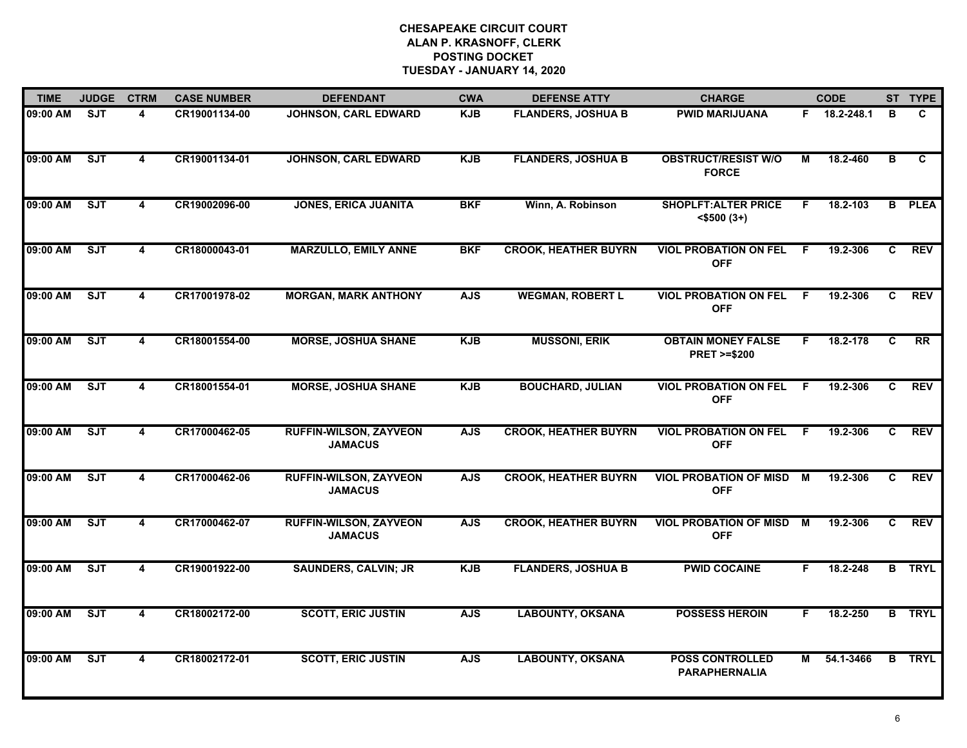| <b>TIME</b> | <b>JUDGE</b>            | <b>CTRM</b>             | <b>CASE NUMBER</b> | <b>DEFENDANT</b>                                | <b>CWA</b> | <b>DEFENSE ATTY</b>         | <b>CHARGE</b>                                       |     | <b>CODE</b> |                         | ST TYPE       |
|-------------|-------------------------|-------------------------|--------------------|-------------------------------------------------|------------|-----------------------------|-----------------------------------------------------|-----|-------------|-------------------------|---------------|
| 09:00 AM    | $\overline{\text{SJT}}$ | 4                       | CR19001134-00      | JOHNSON, CARL EDWARD                            | <b>KJB</b> | <b>FLANDERS, JOSHUA B</b>   | <b>PWID MARIJUANA</b>                               | F.  | 18.2-248.1  | в                       | C.            |
| 09:00 AM    | ST                      | $\overline{\mathbf{4}}$ | CR19001134-01      | <b>JOHNSON, CARL EDWARD</b>                     | <b>KJB</b> | <b>FLANDERS, JOSHUA B</b>   | <b>OBSTRUCT/RESIST W/O</b><br><b>FORCE</b>          | М   | 18.2-460    | $\overline{\mathbf{B}}$ | C.            |
| 09:00 AM    | ST                      | $\overline{\mathbf{4}}$ | CR19002096-00      | <b>JONES, ERICA JUANITA</b>                     | <b>BKF</b> | Winn, A. Robinson           | <b>SHOPLFT: ALTER PRICE</b><br>$<$ \$500 (3+)       | F.  | 18.2-103    | $\overline{B}$          | <b>PLEA</b>   |
| 09:00 AM    | SJT                     | 4                       | CR18000043-01      | <b>MARZULLO, EMILY ANNE</b>                     | <b>BKF</b> | <b>CROOK, HEATHER BUYRN</b> | <b>VIOL PROBATION ON FEL</b><br><b>OFF</b>          | - F | 19.2-306    | C.                      | <b>REV</b>    |
| 09:00 AM    | SJT                     | 4                       | CR17001978-02      | <b>MORGAN, MARK ANTHONY</b>                     | <b>AJS</b> | <b>WEGMAN, ROBERT L</b>     | <b>VIOL PROBATION ON FEL</b><br><b>OFF</b>          | -F  | 19.2-306    | C                       | <b>REV</b>    |
| 09:00 AM    | ST                      | 4                       | CR18001554-00      | <b>MORSE, JOSHUA SHANE</b>                      | <b>KJB</b> | <b>MUSSONI, ERIK</b>        | <b>OBTAIN MONEY FALSE</b><br><b>PRET &gt;=\$200</b> | F   | 18.2-178    | C                       | <b>RR</b>     |
| 09:00 AM    | SJT                     | $\overline{4}$          | CR18001554-01      | <b>MORSE, JOSHUA SHANE</b>                      | <b>KJB</b> | <b>BOUCHARD, JULIAN</b>     | <b>VIOL PROBATION ON FEL</b><br><b>OFF</b>          | - F | 19.2-306    | C                       | <b>REV</b>    |
| 09:00 AM    | ST                      | $\overline{\mathbf{4}}$ | CR17000462-05      | <b>RUFFIN-WILSON, ZAYVEON</b><br><b>JAMACUS</b> | <b>AJS</b> | <b>CROOK, HEATHER BUYRN</b> | <b>VIOL PROBATION ON FEL</b><br><b>OFF</b>          | F.  | 19.2-306    | $\overline{c}$          | <b>REV</b>    |
| 09:00 AM    | SJT                     | 4                       | CR17000462-06      | <b>RUFFIN-WILSON, ZAYVEON</b><br><b>JAMACUS</b> | <b>AJS</b> | <b>CROOK, HEATHER BUYRN</b> | <b>VIOL PROBATION OF MISD</b><br><b>OFF</b>         | M   | 19.2-306    | C.                      | <b>REV</b>    |
| 09:00 AM    | ST                      | 4                       | CR17000462-07      | <b>RUFFIN-WILSON, ZAYVEON</b><br><b>JAMACUS</b> | <b>AJS</b> | <b>CROOK, HEATHER BUYRN</b> | <b>VIOL PROBATION OF MISD</b><br><b>OFF</b>         | М   | 19.2-306    | C.                      | <b>REV</b>    |
| 09:00 AM    | ST                      | 4                       | CR19001922-00      | <b>SAUNDERS, CALVIN; JR</b>                     | <b>KJB</b> | <b>FLANDERS, JOSHUA B</b>   | <b>PWID COCAINE</b>                                 | F.  | 18.2-248    |                         | <b>B</b> TRYL |
| 09:00 AM    | ST                      | 4                       | CR18002172-00      | <b>SCOTT, ERIC JUSTIN</b>                       | <b>AJS</b> | <b>LABOUNTY, OKSANA</b>     | <b>POSSESS HEROIN</b>                               | F   | 18.2-250    |                         | <b>B</b> TRYL |
| 09:00 AM    | SJT                     | $\overline{4}$          | CR18002172-01      | <b>SCOTT, ERIC JUSTIN</b>                       | <b>AJS</b> | <b>LABOUNTY, OKSANA</b>     | <b>POSS CONTROLLED</b><br><b>PARAPHERNALIA</b>      | M   | 54.1-3466   |                         | <b>B</b> TRYL |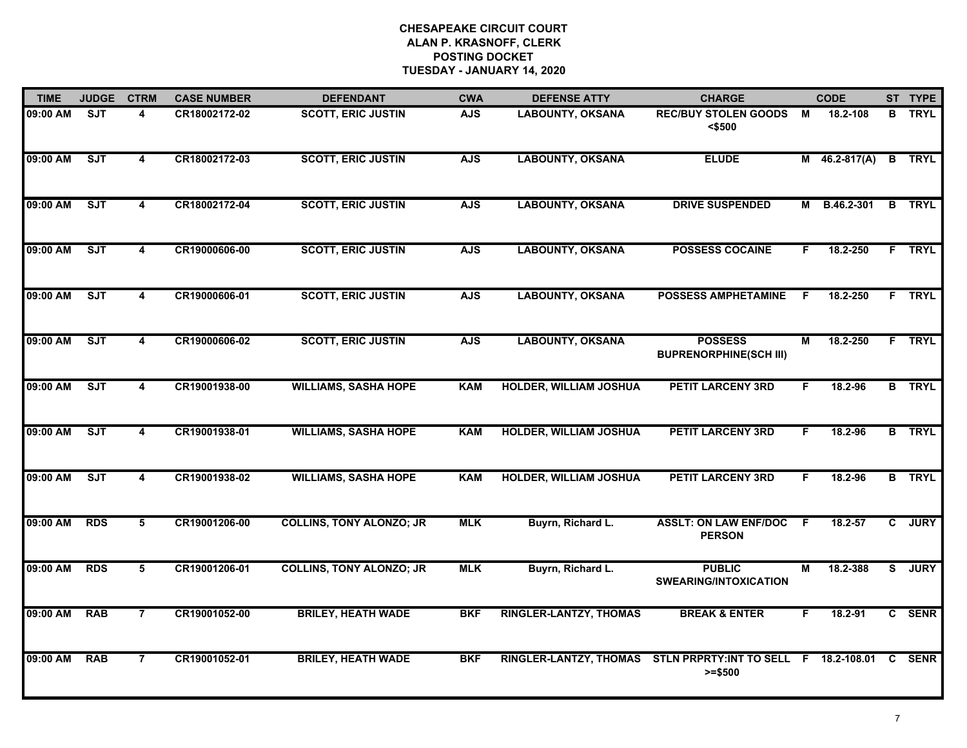| <b>TIME</b> | <b>JUDGE</b> | <b>CTRM</b>             | <b>CASE NUMBER</b> | <b>DEFENDANT</b>                | <b>CWA</b> | <b>DEFENSE ATTY</b>                                                  | <b>CHARGE</b>                                   |    | <b>CODE</b>     | ST TYPE       |
|-------------|--------------|-------------------------|--------------------|---------------------------------|------------|----------------------------------------------------------------------|-------------------------------------------------|----|-----------------|---------------|
| 09:00 AM    | <b>SJT</b>   | 4                       | CR18002172-02      | <b>SCOTT, ERIC JUSTIN</b>       | <b>AJS</b> | <b>LABOUNTY, OKSANA</b>                                              | <b>REC/BUY STOLEN GOODS</b><br><\$500           | M  | 18.2-108        | <b>B</b> TRYL |
| 09:00 AM    | ST           | $\overline{\mathbf{4}}$ | CR18002172-03      | <b>SCOTT, ERIC JUSTIN</b>       | <b>AJS</b> | <b>LABOUNTY, OKSANA</b>                                              | <b>ELUDE</b>                                    |    | $M$ 46.2-817(A) | <b>B</b> TRYL |
| 09:00 AM    | ST           | 4                       | CR18002172-04      | <b>SCOTT, ERIC JUSTIN</b>       | <b>AJS</b> | <b>LABOUNTY, OKSANA</b>                                              | <b>DRIVE SUSPENDED</b>                          | М  | B.46.2-301      | <b>B</b> TRYL |
| 09:00 AM    | SJT          | 4                       | CR19000606-00      | <b>SCOTT, ERIC JUSTIN</b>       | <b>AJS</b> | <b>LABOUNTY, OKSANA</b>                                              | <b>POSSESS COCAINE</b>                          | F. | 18.2-250        | F TRYL        |
| 09:00 AM    | SJT          | 4                       | CR19000606-01      | <b>SCOTT, ERIC JUSTIN</b>       | <b>AJS</b> | <b>LABOUNTY, OKSANA</b>                                              | <b>POSSESS AMPHETAMINE</b>                      | F. | 18.2-250        | F TRYL        |
| 09:00 AM    | <b>SJT</b>   | 4                       | CR19000606-02      | <b>SCOTT, ERIC JUSTIN</b>       | <b>AJS</b> | <b>LABOUNTY, OKSANA</b>                                              | <b>POSSESS</b><br><b>BUPRENORPHINE(SCH III)</b> | M  | 18.2-250        | F TRYL        |
| 09:00 AM    | ST           | $\overline{\mathbf{4}}$ | CR19001938-00      | <b>WILLIAMS, SASHA HOPE</b>     | <b>KAM</b> | <b>HOLDER, WILLIAM JOSHUA</b>                                        | <b>PETIT LARCENY 3RD</b>                        | F. | 18.2-96         | <b>B</b> TRYL |
| 09:00 AM    | ST           | $\overline{\mathbf{4}}$ | CR19001938-01      | <b>WILLIAMS, SASHA HOPE</b>     | <b>KAM</b> | <b>HOLDER, WILLIAM JOSHUA</b>                                        | <b>PETIT LARCENY 3RD</b>                        | F. | 18.2-96         | <b>B</b> TRYL |
| 09:00 AM    | SJT          | 4                       | CR19001938-02      | <b>WILLIAMS, SASHA HOPE</b>     | <b>KAM</b> | <b>HOLDER, WILLIAM JOSHUA</b>                                        | <b>PETIT LARCENY 3RD</b>                        | F  | 18.2-96         | <b>B</b> TRYL |
| 09:00 AM    | <b>RDS</b>   | 5                       | CR19001206-00      | <b>COLLINS, TONY ALONZO; JR</b> | <b>MLK</b> | Buyrn, Richard L.                                                    | <b>ASSLT: ON LAW ENF/DOC</b><br><b>PERSON</b>   | F  | $18.2 - 57$     | C JURY        |
| 09:00 AM    | <b>RDS</b>   | 5                       | CR19001206-01      | <b>COLLINS, TONY ALONZO; JR</b> | <b>MLK</b> | Buyrn, Richard L.                                                    | <b>PUBLIC</b><br><b>SWEARING/INTOXICATION</b>   | М  | 18.2-388        | S JURY        |
| 09:00 AM    | <b>RAB</b>   | $\overline{7}$          | CR19001052-00      | <b>BRILEY, HEATH WADE</b>       | <b>BKF</b> | <b>RINGLER-LANTZY, THOMAS</b>                                        | <b>BREAK &amp; ENTER</b>                        | F. | 18.2-91         | C SENR        |
| 09:00 AM    | <b>RAB</b>   | $\overline{7}$          | CR19001052-01      | <b>BRILEY, HEATH WADE</b>       | <b>BKF</b> | RINGLER-LANTZY, THOMAS STLN PRPRTY: INT TO SELL F 18.2-108.01 C SENR | $>= $500$                                       |    |                 |               |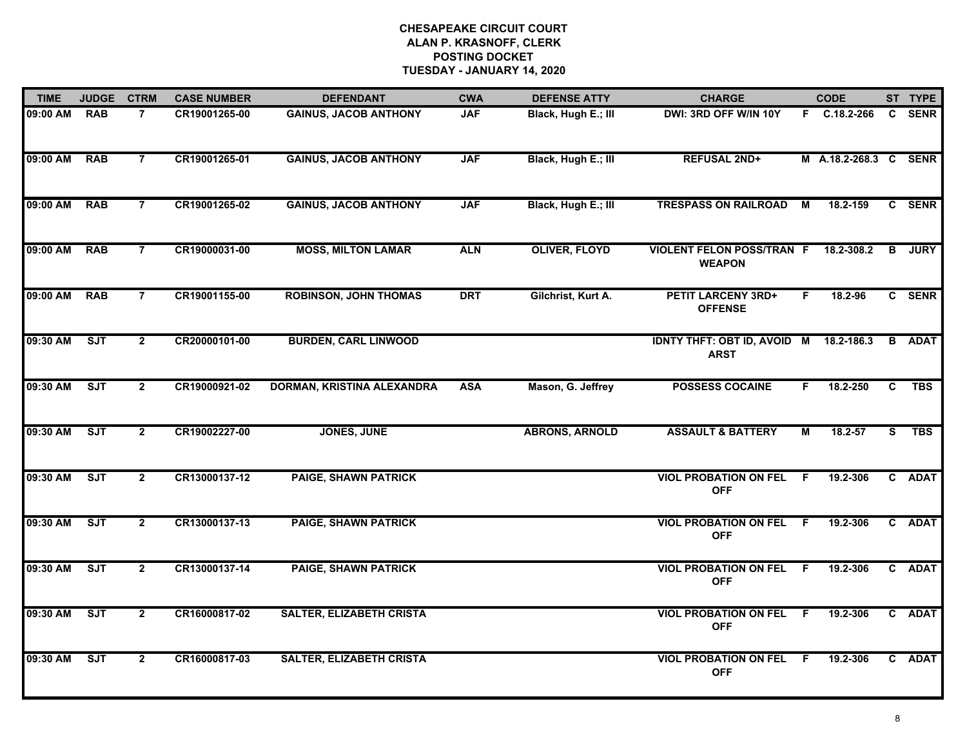| <b>TIME</b> | <b>JUDGE</b> | <b>CTRM</b>    | <b>CASE NUMBER</b> | <b>DEFENDANT</b>                | <b>CWA</b> | <b>DEFENSE ATTY</b>   | <b>CHARGE</b>                                         |     | <b>CODE</b>           |                | ST TYPE     |
|-------------|--------------|----------------|--------------------|---------------------------------|------------|-----------------------|-------------------------------------------------------|-----|-----------------------|----------------|-------------|
| 09:00 AM    | <b>RAB</b>   | $\overline{7}$ | CR19001265-00      | <b>GAINUS, JACOB ANTHONY</b>    | <b>JAF</b> | Black, Hugh E.; III   | DWI: 3RD OFF W/IN 10Y                                 |     | F C.18.2-266          | $\mathbf{C}$   | <b>SENR</b> |
| 09:00 AM    | <b>RAB</b>   | $\overline{7}$ | CR19001265-01      | <b>GAINUS, JACOB ANTHONY</b>    | <b>JAF</b> | Black, Hugh E.; III   | <b>REFUSAL 2ND+</b>                                   |     | M A.18.2-268.3 C SENR |                |             |
| 09:00 AM    | <b>RAB</b>   | $\overline{7}$ | CR19001265-02      | <b>GAINUS, JACOB ANTHONY</b>    | <b>JAF</b> | Black, Hugh E.; III   | <b>TRESPASS ON RAILROAD</b>                           | М   | 18.2-159              |                | C SENR      |
| 09:00 AM    | <b>RAB</b>   | $\overline{7}$ | CR19000031-00      | <b>MOSS, MILTON LAMAR</b>       | <b>ALN</b> | <b>OLIVER, FLOYD</b>  | <b>VIOLENT FELON POSS/TRAN F</b><br><b>WEAPON</b>     |     | 18.2-308.2            | B              | <b>JURY</b> |
| 09:00 AM    | <b>RAB</b>   | $\overline{7}$ | CR19001155-00      | <b>ROBINSON, JOHN THOMAS</b>    | <b>DRT</b> | Gilchrist, Kurt A.    | <b>PETIT LARCENY 3RD+</b><br><b>OFFENSE</b>           | F.  | 18.2-96               |                | C SENR      |
| 09:30 AM    | SJT          | $\overline{2}$ | CR20000101-00      | <b>BURDEN, CARL LINWOOD</b>     |            |                       | IDNTY THFT: OBT ID, AVOID M 18.2-186.3<br><b>ARST</b> |     |                       | B              | <b>ADAT</b> |
| 09:30 AM    | ST           | $\overline{2}$ | CR19000921-02      | DORMAN, KRISTINA ALEXANDRA      | <b>ASA</b> | Mason, G. Jeffrey     | <b>POSSESS COCAINE</b>                                | F.  | 18.2-250              | $\overline{c}$ | <b>TBS</b>  |
| 09:30 AM    | ST           | $\mathbf{2}$   | CR19002227-00      | <b>JONES, JUNE</b>              |            | <b>ABRONS, ARNOLD</b> | <b>ASSAULT &amp; BATTERY</b>                          | М   | 18.2-57               | S.             | <b>TBS</b>  |
| 09:30 AM    | <b>SJT</b>   | $\overline{2}$ | CR13000137-12      | <b>PAIGE, SHAWN PATRICK</b>     |            |                       | <b>VIOL PROBATION ON FEL</b><br><b>OFF</b>            | F.  | 19.2-306              |                | C ADAT      |
| 09:30 AM    | ST           | $\overline{2}$ | CR13000137-13      | <b>PAIGE, SHAWN PATRICK</b>     |            |                       | <b>VIOL PROBATION ON FEL F</b><br><b>OFF</b>          |     | 19.2-306              |                | C ADAT      |
| 09:30 AM    | ST           | $\overline{2}$ | CR13000137-14      | <b>PAIGE, SHAWN PATRICK</b>     |            |                       | <b>VIOL PROBATION ON FEL F</b><br><b>OFF</b>          |     | 19.2-306              |                | C ADAT      |
| 09:30 AM    | ST           | $\overline{2}$ | CR16000817-02      | <b>SALTER, ELIZABETH CRISTA</b> |            |                       | <b>VIOL PROBATION ON FEL F</b><br><b>OFF</b>          |     | 19.2-306              |                | C ADAT      |
| 09:30 AM    | ST           | $\overline{2}$ | CR16000817-03      | <b>SALTER, ELIZABETH CRISTA</b> |            |                       | <b>VIOL PROBATION ON FEL</b><br><b>OFF</b>            | - F | 19.2-306              |                | C ADAT      |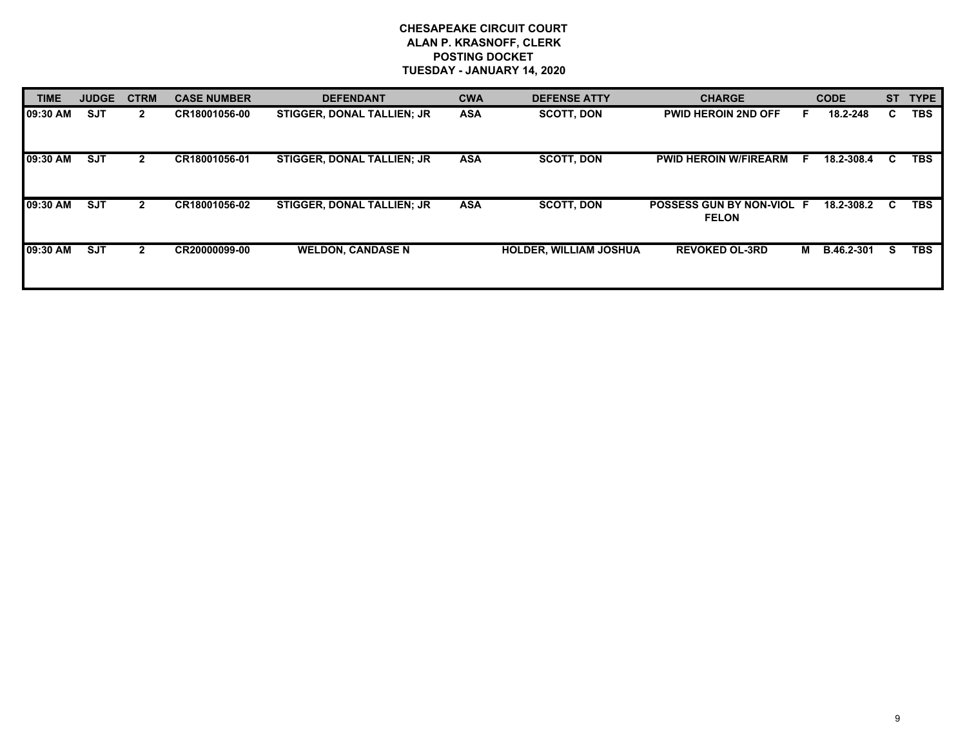| <b>TIME</b>      | <b>JUDGE</b> | <b>CTRM</b>  | <b>CASE NUMBER</b> | <b>DEFENDANT</b>                  | <b>CWA</b> | <b>DEFENSE ATTY</b>           | <b>CHARGE</b>                             |     | <b>CODE</b> | <b>ST</b> | <b>TYPE</b> |
|------------------|--------------|--------------|--------------------|-----------------------------------|------------|-------------------------------|-------------------------------------------|-----|-------------|-----------|-------------|
| <b>109:30 AM</b> | <b>SJT</b>   | $\mathbf{2}$ | CR18001056-00      | <b>STIGGER, DONAL TALLIEN: JR</b> | <b>ASA</b> | <b>SCOTT, DON</b>             | <b>PWID HEROIN 2ND OFF</b>                |     | 18.2-248    | C.        | <b>TBS</b>  |
| 09:30 AM         | <b>SJT</b>   |              | CR18001056-01      | <b>STIGGER, DONAL TALLIEN; JR</b> | <b>ASA</b> | <b>SCOTT, DON</b>             | <b>PWID HEROIN W/FIREARM</b>              | - F | 18.2-308.4  | C.        | <b>TBS</b>  |
| 09:30 AM         | <b>SJT</b>   | $\mathbf{2}$ | CR18001056-02      | <b>STIGGER, DONAL TALLIEN: JR</b> | <b>ASA</b> | <b>SCOTT, DON</b>             | POSSESS GUN BY NON-VIOL F<br><b>FELON</b> |     | 18.2-308.2  | - C       | <b>TBS</b>  |
| <b>09:30 AM</b>  | <b>SJT</b>   | $\mathbf{2}$ | CR20000099-00      | <b>WELDON, CANDASE N</b>          |            | <b>HOLDER, WILLIAM JOSHUA</b> | <b>REVOKED OL-3RD</b>                     | м   | B.46.2-301  | S.        | <b>TBS</b>  |